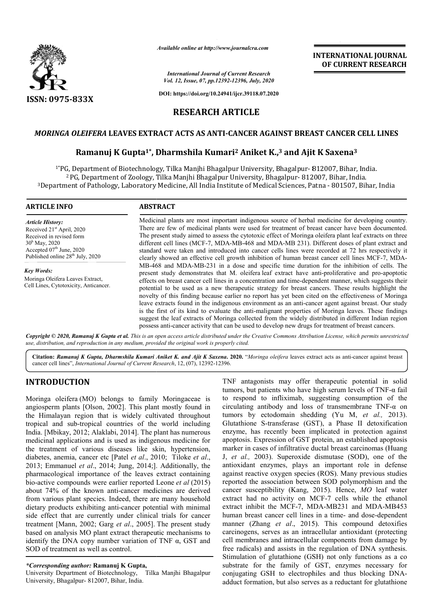

*Available online at http://www.journalcra.com*

*International Journal of Current Research Vol. 12, Issue, 07, pp.12392-12396, July, 2020*

**DOI: https://doi.org/10.24941/ijcr.39118.07.2020**

# **RESEARCH ARTICLE**

# *MORINGA OLEIFERA* **LEAVES EXTRACT ACTS AS ANTI ANTI-CANCER AGAINST BREAST CANCER CELL LINES**

# r*LEIFERA L*EAVES EXTRACT ACTS AS ANTI-CANCER AGAINST BREAST CANCER CELL LINES<br>Ramanuj K Gupta<sup>1\*</sup>, Dharmshila Kumari<sup>2</sup> Aniket K.,<sup>3</sup> and Ajit K Saxena<sup>3</sup>

1\*PG, Department of Biotechnology, Tilka Manjhi Bhagalpur University, Bhagalpur PG, Bhagalpur- 812007, Bihar, India.  $^2$  PG, Department of Zoology, Tilka Manjhi Bhagalpur University, Bhagalpur- 812007, Bihar, India. <sup>1</sup>\*PG, Department of Biotechnology, Tilka Manjhi Bhagalpur University, Bhagalpur- 812007, Bihar, India.<br><sup>2</sup> PG, Department of Zoology, Tilka Manjhi Bhagalpur University, Bhagalpur- 812007, Bihar, India<sup>3</sup><br>3 Department of

| <b>ARTICLE INFO</b>                                                                                                                                                                                  | <b>ABSTRACT</b>                                                                                                                                                                                                                                                                                                                                                                                                                                                                                                                                                                                                                                                                                                                                                                                                                                                                                                                                           |  |  |
|------------------------------------------------------------------------------------------------------------------------------------------------------------------------------------------------------|-----------------------------------------------------------------------------------------------------------------------------------------------------------------------------------------------------------------------------------------------------------------------------------------------------------------------------------------------------------------------------------------------------------------------------------------------------------------------------------------------------------------------------------------------------------------------------------------------------------------------------------------------------------------------------------------------------------------------------------------------------------------------------------------------------------------------------------------------------------------------------------------------------------------------------------------------------------|--|--|
| <b>Article History:</b><br>Received 21 <sup>st</sup> April, 2020<br>Received in revised form<br>$30^{\rm h}$ May, 2020<br>Accepted $07th$ June, 2020<br>Published online 28 <sup>th</sup> July, 2020 | Medicinal plants are most important indigenous source of herbal medicine for developing country.<br>There are few of medicinal plants were used for treatment of breast cancer have been documented.<br>The present study aimed to assess the cytotoxic effect of Moringa oleifera plant leaf extracts on three<br>different cell lines (MCF-7, MDA-MB-468 and MDA-MB 231). Different doses of plant extract and<br>standard were taken and introduced into cancer cells lines were recorded at 72 hrs respectively it<br>clearly showed an effective cell growth inhibition of human breast cancer cell lines MCF-7, MDA-                                                                                                                                                                                                                                                                                                                                |  |  |
| <b>Key Words:</b><br>Moringa Oleifera Leaves Extract,<br>Cell Lines, Cytotoxicity, Anticancer.                                                                                                       | MB-468 and MDA-MB-231 in a dose and specific time duration for the inhibition of cells. The<br>present study demonstrates that M. oleifera leaf extract have anti-proliferative and pro-apoptotic<br>effects on breast cancer cell lines in a concentration and time-dependent manner, which suggests their<br>potential to be used as a new therapeutic strategy for breast cancers. These results highlight the<br>novelty of this finding because earlier no report has yet been cited on the effectiveness of Moringa<br>leave extracts found in the indigenous environment as an anti-cancer agent against breast. Our study<br>is the first of its kind to evaluate the anti-malignant properties of Moringa leaves. These findings<br>suggest the leaf extracts of Moringa collected from the widely distributed in different Indian region<br>possess anti-cancer activity that can be used to develop new drugs for treatment of breast cancers. |  |  |

Copyright © 2020, Ramanuj K Gupta et al. This is an open access article distributed under the Creative Commons Attribution License, which permits unrestrictea *use, distribution, and reproduction in any medium, provided the original work is properly cited.*

Citation: Ramanuj K Gupta, Dharmshila Kumari Aniket K. and Ajit K Saxena. 2020. "Moringa oleifera leaves extract acts as anti-cancer against breast cancer cell lines", *International Journal of Current Research* , 12, (07), 12392-12396.

# **INTRODUCTION**

Moringa oleifera (MO) belongs to family Moringaceae is angiosperm plants [Olson, 2002]. This plant mostly found in the Himalayan region that is widely cultivated throughout tropical and sub-tropical countries of the world including India. [Mbikay, 2012; Alaklabi, 2014]. The plant has numerous medicinal applications and is used as indigenous medicine for the treatment of various diseases like skin, hypertension, diabetes, anemia, cancer etc [Patel *et al*., 2010; Tiloke *et al*., 2013; Emmanuel *et al*., 2014; Jung, 2014;]. Additionally, the pharmacological importance of the leaves extract containing bio-active compounds were earlier reported Leone *et al*  $(2015)$ about 74% of the known anti-cancer medicines are derived from various plant species. Indeed, there are many household dietary products exhibiting anti-cancer potential with minimal side effect that are currently under clinical trials for cancer treatment [Mann, 2002; Garg *et al*., 2005]. based on analysis MO plant extract therapeutic mechanisms to identify the DNA copy number variation of TNF α, GST and SOD of treatment as well as control. [Olson, 2002]. This plant mostly found in gion that is widely cultivated throughout tropical countries of the world including 12; Alaklabi, 2014]. The plant has numerous ions and is used as indigenous medicine for various 3; Emmanuel *et al.*, 2014; Jung, 2014;]. Additionally, the macological importance of the leaves extract containing active compounds were earlier reported Leone *et al* (2015) cancer medicines are derived<br>eed, there are many household<br>cancer potential with minimal<br>nder clinical trials for cancer<br>t al., 2005]. The present study

#### *\*Corresponding author:* **Ramanuj K Gupta,**

University Department of Biotechnology, Tilka Manjhi Bhagalpur University, Bhagalpur- 812007, Bihar, India.

TNF antagonists may offer therapeutic potential in solid tumors, but patients who have high serum levels of  $TNF-\alpha$  fail to respond to infliximab, suggesting consumption of the to respond to infliximab, suggesting consumption of the circulating antibody and loss of transmembrane  $TNF-\alpha$  on tumors by ectodomain shedding ( (Yu M, *et al.,* 2013). Glutathione S-transferase (GST), a Phase II detoxification enzyme, has recently been implicated in protection against apoptosis. Expression of GST protein, an established apoptosis marker in cases of infiltrative ductal breast carcinomas ( J, et al., 2003). Superoxide dismutase (SOD), one of the antioxidant enzymes, plays an important role in defense against reactive oxygen species (ROS). Many previous studies reported the association between SOD polymorphism and the antioxidant enzymes, plays an important role in defense against reactive oxygen species (ROS). Many previous studies reported the association between SOD polymorphism and the cancer susceptibility (Kang, 2015). Hence, *MO* extract had no activity on MCF-7 cells while the ethanol extract inhibit the MCF-7, MDA-MB231 and MDA-MB453 human breast cancer cell lines in a time- and dose-dependent manner (Zhang *et al*., 2015). This compound detoxifies carcinogens, serves as an intracellular antioxidant (protecting cell membranes and intracellular components from damage by free radicals) and assists in the regulation of DNA synthesis. Stimulation of glutathione (GSH) not only functions as a co substrate for the family of GST, enzymes necessary for substrate for the family of GST, enzymes necessary for conjugating GSH to electrophiles and thus blocking DNAadduct formation, but also serves as a reductant for glutathione ransferase (GST), a Phase II detoxification<br>cently been implicated in protection against<br>ssion of GST protein, an established apoptosis<br>of infiltrative ductal breast carcinomas (Huang ng *et al.*, 2015). This compound detoxifies erves as an intracellular antioxidant (protecting s and intracellular components from damage by and assists in the regulation of DNA synthesis. f glutathione (GSH) not only func **EXERCIS (FRAMATIONAL JOUENALE (FRAMATIONAL JOUENALE 167.476.46.**<br> **CALC ACALC 2020**<br> **CALC ACALC ANCE ACALC CONSTRANT RESEARCH (FRAMATION)**<br> **CALC CONSTRANT BREAST CANCER CELL LINES**<br> **CIRC AGAINST BREAST CANCER CELL LINE** 

**INTERNATIONAL JOURNAL OF CURRENT RESEARCH**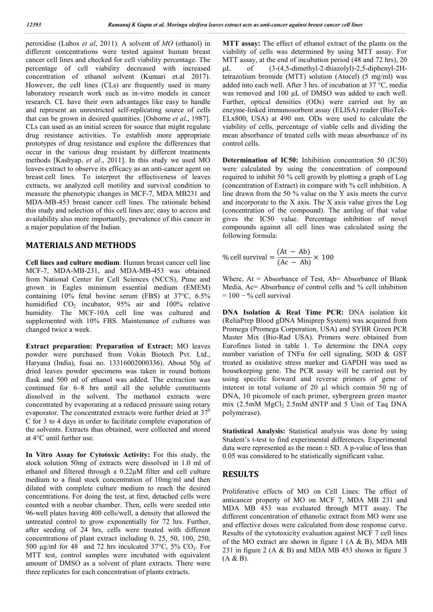peroxidise (Lubos *et al*, 2011). A solvent of *MO* (ethanol) in different concentrations were tested against human breast cancer cell lines and checked for cell viability percentage. The percentage of cell viability decreased with increased concentration of ethanol solvent (Kumari et.al 2017). However, the cell lines (CLs) are frequently used in many laboratory research work such as in-vitro models in cancer research. CL have their own advantages like easy to handle and represent an unrestricted self-replicating source of cells that can be grown in desired quantities. [Osborne *et al*., 1987]. CLs can used as an initial screen for source that might regulate drug resistance activities. To establish more appropriate prototypes of drug resistance and explore the differences that occur in the various drug resistant by different treatments methods [Kashyap, *et al*., 2011]. In this study we used MO leaves extract to observe its efficacy as an anti-cancer agent on breast cell lines. To interpret the effectiveness of leaves extracts, we analyzed cell motility and survival condition to measure the phenotypic changes in MCF-7, MDA MB231 and MDA-MB-453 breast cancer cell lines. The rationale behind this study and selection of this cell lines are; easy to access and availability also more importantly, prevalence of this cancer in a major population of the Indian.

#### **MATERIALS AND METHODS**

**Cell lines and culture medium**: Human breast cancer cell line MCF-7, MDA-MB-231, and MDA-MB-453 was obtained from National Center for Cell Sciences (NCCS), Pune and grown in Eagles minimum essential medium (EMEM) containing 10% fetal bovine serum (FBS) at 37°C, 6.5% humidified  $CO<sub>2</sub>$  incubator, 95% air and 100% relative humidity. The MCF-10A cell line was cultured and supplemented with 10% FBS. Maintenance of cultures was changed twice a week.

**Extract preparation: Preparation of Extract:** MO leaves powder were purchased from Vokin Biotech Pvt. Ltd., Haryana (India), fssai no. 13316002000336). About 50g of dried leaves powder specimens was taken in round bottom flask and 500 ml of ethanol was added. The extraction was continued for 6–8 hrs until all the soluble constituents dissolved in the solvent. The methanol extracts were concentrated by evaporating at a reduced pressure using rotary evaporator. The concentrated extracts were further dried at  $37^0$ C for 3 to 4 days in order to facilitate complete evaporation of the solvents. Extracts thus obtained, were collected and stored at 4°C until further use.

**In Vitro Assay for Cytotoxic Activity:** For this study, the stock solution 50mg of extracts were dissolved in 1.0 ml of ethanol and filtered through a 0.22μM filter and cell culture medium to a final stock concentration of 10mg/ml and then diluted with complete culture medium to reach the desired concentrations. For doing the test, at first, detached cells were counted with a neobar chamber. Then, cells were seeded into 96-well plates having 400 cells/well, a density that allowed the untreated control to grow exponentially for 72 hrs. Further, after seeding of 24 hrs, cells were treated with different concentrations of plant extract including 0, 25, 50, 100, 250, 500 μg/ml for 48 and 72 hrs inculcated 37 $\degree$ C, 5% CO<sub>2</sub>. For MTT test, control samples were incubated with equivalent amount of DMSO as a solvent of plant extracts. There were three replicates for each concentration of plants extracts.

**MTT assay:** The effect of ethanol extract of the plants on the viability of cells was determined by using MTT assay. For MTT assay, at the end of incubation period (48 and 72 hrs), 20 μL of (3-(4,5-dimethyl-2-thiazolyl)-2,5-diphenyl-2Htetrazolium bromide (MTT) solution (Atocel) (5 mg/ml) was added into each well. After 3 hrs. of incubation at 37 °C, media was removed and 100 μL of DMSO was added to each well. Further, optical densities (ODs) were carried out by an enzyme-linked immunosorbent assay (ELISA) reader (BioTek-ELx800, USA) at 490 nm. ODs were used to calculate the viability of cells, percentage of viable cells and dividing the mean absorbance of treated cells with mean absorbance of its control cells.

**Determination of IC50:** Inhibition concentration 50 (IC50) were calculated by using the concentration of compound required to inhibit 50 % cell growth by plotting a graph of Log (concentration of Extract) in compare with % cell inhibition. A line drawn from the 50 % value on the Y axis meets the curve and incorporate to the X axis. The X axis value gives the Log (concentration of the compound). The antilog of that value gives the IC50 value. Percentage inhibition of novel compounds against all cell lines was calculated using the following formula:

% cell survival = 
$$
\frac{(At - Ab)}{(Ac - Ab)} \times 100
$$

Where,  $At = Absorbance$  of Test,  $Ab = Absorbance$  of Blank Media, Ac= Absorbance of control cells and % cell inhibition  $= 100 - %$  cell survival

**DNA Isolation & Real Time PCR:** DNA isolation kit (ReliaPrep Blood gDNA Miniprep System) was acquired from Promega (Promega Corporation, USA) and SYBR Green PCR Master Mix (Bio-Rad USA). Primers were obtained from Eurofines listed in table 1. To determine the DNA copy number variation of TNFα for cell signaling, SOD & GST treated as oxidative stress marker and GAPDH was used as housekeeping gene. The PCR assay will be carried out by using specific forward and reverse primers of gene of interest in total volume of 20 µl which contain 50 ng of DNA, 10 picomole of each primer, sybergreen green master mix ( $2.5$ mM  $MgCl<sub>2</sub> 2.5$ mM dNTP and  $5$  Unit of Taq DNA polymerase).

**Statistical Analysis:** Statistical analysis was done by using Student's t-test to find experimental differences. Experimental data were represented as the mean  $\pm$  SD. A p-value of less than 0.05 was considered to be statistically significant value.

## **RESULTS**

Proliferative effects of MO on Cell Lines: The effect of anticancer property of MO on MCF 7, MDA MB 231 and MDA MB 453 was evaluated through MTT assay. The different concentration of ethanolic extract from MO were use and effective doses were calculated from dose response curve. Results of the cytotoxicity evaluation against MCF 7 cell lines of the MO extract are shown in figure 1  $(A \& B)$ , MDA MB 231 in figure 2 (A & B) and MDA MB 453 shown in figure 3 (A & B).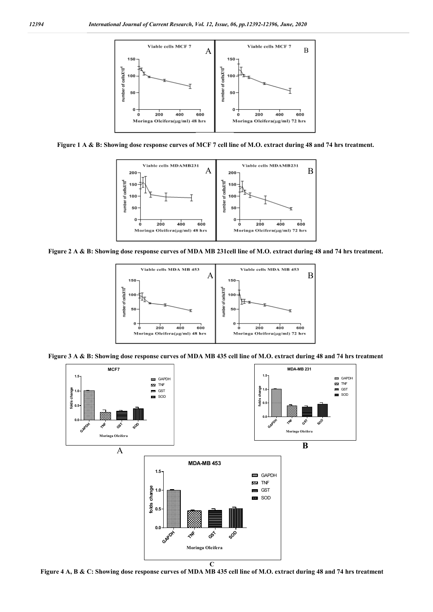

**Figure 1 A & B: Showing dose response curves of MCF 7 cell line of M.O. extract during 48 and 74 hrs treatment.**



**Figure 2 A & B: Showing dose response curves of MDA MB 231cell line of M.O. extract during 48 and 74 hrs treatment.**



**Figure 3 A & B: Showing dose response curves of MDA MB 435 cell line of M.O. extract during 48 and 74 hrs treatment**



**Figure 4 A, B & C: Showing dose response curves of MDA MB 435 cell line of M.O. extract during 48 and 74 hrs treatment**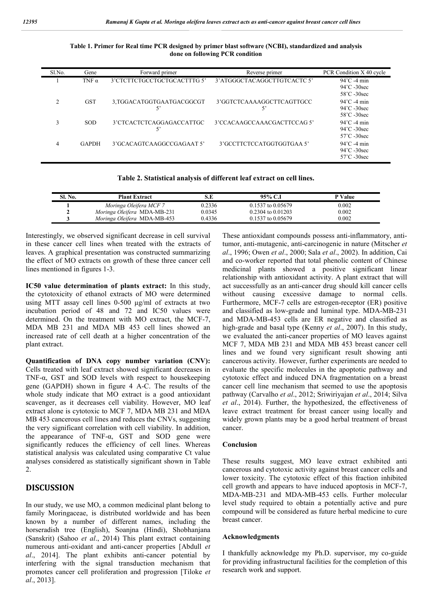| Sl.No. | Gene         | Forward primer                 | Reverse primer                  | PCR Condition X 40 cycle                                                |
|--------|--------------|--------------------------------|---------------------------------|-------------------------------------------------------------------------|
|        | TNF $\alpha$ | 3'CTCTTCTGCCTGCTGCACTTTG 5'    | 3' ATGGGCTACAGGCTTGTCACTC 5'    | $94^{\circ}$ C -4 min<br>$94^{\circ}$ C -30sec<br>58°C -30sec           |
| ↑      | <b>GST</b>   | 3.TGGACATGGTGAATGACGGCGT<br>5' | 3'GGTCTCAAAAGGCTTCAGTTGCC<br>5' | $94^{\circ}$ C -4 min<br>$94^{\circ}$ C -30sec<br>$58^{\circ}$ C -30sec |
| ◠      | <b>SOD</b>   | 3'CTCACTCTCAGGAGACCATTGC<br>5' | 3'CCACAAGCCAAACGACTTCCAG5'      | $94^{\circ}$ C -4 min<br>$94^{\circ}$ C -30sec<br>$57^{\circ}$ C -30sec |
|        | <b>GAPDH</b> | 3'GCACAGTCAAGGCCGAGAAT 5'      | 3'GCCTTCTCCATGGTGGTGAA 5'       | $94^{\circ}$ C -4 min<br>$94^{\circ}$ C -30sec<br>$57^{\circ}$ C -30sec |

**Table 1. Primer for Real time PCR designed by primer blast software (NCBI), standardized and analysis done on following PCR condition**

| Table 2. Statistical analysis of different leaf extract on cell lines. |  |  |  |
|------------------------------------------------------------------------|--|--|--|
|                                                                        |  |  |  |

| Sl. No. | <b>Plant Extract</b>        |        | 95% C.I               | P Value |
|---------|-----------------------------|--------|-----------------------|---------|
|         | Moringa Oleifera MCF 7      | 0.2336 | $0.1537$ to $0.05679$ | 0.002   |
|         | Moringa Oleifera MDA-MB-231 | 0.0345 | $0.2304$ to $0.01203$ | 0.002   |
|         | Moringa Oleifera MDA-MB-453 | 0.4336 | $0.1537$ to $0.05679$ | 0.002   |

Interestingly, we observed significant decrease in cell survival in these cancer cell lines when treated with the extracts of leaves. A graphical presentation was constructed summarizing the effect of MO extracts on growth of these three cancer cell lines mentioned in figures 1-3.

**IC50 value determination of plants extract:** In this study, the cytotoxicity of ethanol extracts of MO were determined using MTT assay cell lines 0-500 μg/ml of extracts at two incubation period of 48 and 72 and IC50 values were determined. On the treatment with MO extract, the MCF-7, MDA MB 231 and MDA MB 453 cell lines showed an increased rate of cell death at a higher concentration of the plant extract.

**Quantification of DNA copy number variation (CNV):**  Cells treated with leaf extract showed significant decreases in TNF- $\alpha$ , GST and SOD levels with respect to house keeping gene (GAPDH) shown in figure 4 A-C. The results of the whole study indicate that MO extract is a good antioxidant scavenger, as it decreases cell viability. However, MO leaf extract alone is cytotoxic to MCF 7, MDA MB 231 and MDA MB 453 cancerous cell lines and reduces the CNVs, suggesting the very significant correlation with cell viability. In addition, the appearance of TNF-α, GST and SOD gene were significantly reduces the efficiency of cell lines. Whereas statistical analysis was calculated using comparative Ct value analyses considered as statistically significant shown in Table 2.

## **DISCUSSION**

In our study, we use MO, a common medicinal plant belong to family Moringaceae, is distributed worldwide and has been known by a number of different names, including the horseradish tree (English), Soanjna (Hindi), Shobhanjana (Sanskrit) (Sahoo *et al*., 2014) This plant extract containing numerous anti-oxidant and anti-cancer properties [Abdull *et al*., 2014]. The plant exhibits anti-cancer potential by interfering with the signal transduction mechanism that promotes cancer cell proliferation and progression [Tiloke *et al*., 2013].

These antioxidant compounds possess anti-inflammatory, antitumor, anti-mutagenic, anti-carcinogenic in nature (Mitscher *et al*., 1996; Owen *et al*., 2000; Sala *et al*., 2002). In addition, Cai and co-worker reported that total phenolic content of Chinese medicinal plants showed a positive significant linear relationship with antioxidant activity. A plant extract that will act successfully as an anti-cancer drug should kill cancer cells without causing excessive damage to normal cells. Furthermore, MCF-7 cells are estrogen-receptor (ER) positive and classified as low-grade and luminal type. MDA-MB-231 and MDA-MB-453 cells are ER negative and classified as high-grade and basal type (Kenny *et al*., 2007). In this study, we evaluated the anti-cancer properties of MO leaves against MCF 7, MDA MB 231 and MDA MB 453 breast cancer cell lines and we found very significant result showing anti cancerous activity. However, further experiments are needed to evaluate the specific molecules in the apoptotic pathway and cytotoxic effect and induced DNA fragmentation on a breast cancer cell line mechanism that seemed to use the apoptosis pathway (Carvalho *et al*., 2012; Sriwiriyajan *et al*., 2014; Silva *et al*., 2014). Further, the hypothesized, the effectiveness of leave extract treatment for breast cancer using locally and widely grown plants may be a good herbal treatment of breast cancer.

#### **Conclusion**

These results suggest, MO leave extract exhibited anti cancerous and cytotoxic activity against breast cancer cells and lower toxicity. The cytotoxic effect of this fraction inhibited cell growth and appears to have induced apoptosis in MCF-7, MDA-MB-231 and MDA-MB-453 cells. Further molecular level study required to obtain a potentially active and pure compound will be considered as future herbal medicine to cure breast cancer.

#### **Acknowledgments**

I thankfully acknowledge my Ph.D. supervisor, my co-guide for providing infrastructural facilities for the completion of this research work and support.